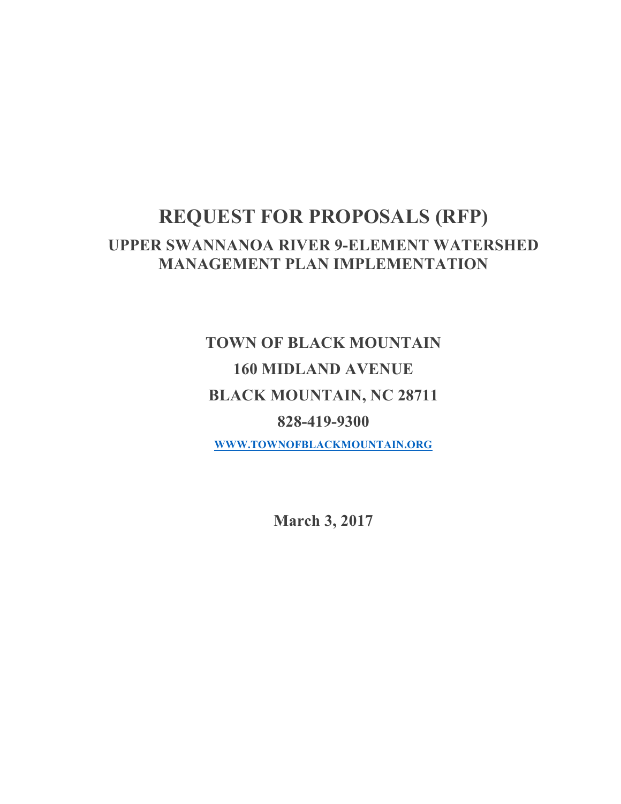## **REQUEST FOR PROPOSALS (RFP) UPPER SWANNANOA RIVER 9-ELEMENT WATERSHED MANAGEMENT PLAN IMPLEMENTATION**

# **TOWN OF BLACK MOUNTAIN 160 MIDLAND AVENUE BLACK MOUNTAIN, NC 28711 828-419-9300 WWW.TOWNOFBLACKMOUNTAIN.ORG**

**March 3, 2017**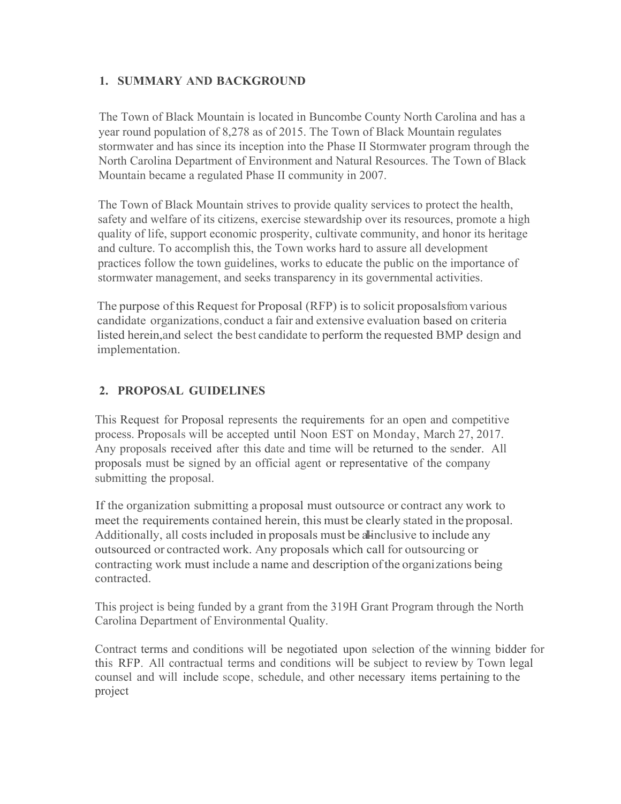#### **1. SUMMARY AND BACKGROUND**

The Town of Black Mountain is located in Buncombe County North Carolina and has a year round population of 8,278 as of 2015. The Town of Black Mountain regulates stormwater and has since its inception into the Phase II Stormwater program through the North Carolina Department of Environment and Natural Resources. The Town of Black Mountain became a regulated Phase II community in 2007.

The Town of Black Mountain strives to provide quality services to protect the health, safety and welfare of its citizens, exercise stewardship over its resources, promote a high quality of life, support economic prosperity, cultivate community, and honor its heritage and culture. To accomplish this, the Town works hard to assure all development practices follow the town guidelines, works to educate the public on the importance of stormwater management, and seeks transparency in its governmental activities.

The purpose of this Request for Proposal (RFP) isto solicit proposalsfromvarious candidate organizations, conduct a fair and extensive evaluation based on criteria listed herein,and select the best candidate to perform the requested BMP design and implementation.

## **2. PROPOSAL GUIDELINES**

This Request for Proposal represents the requirements for an open and competitive process. Proposals will be accepted until Noon EST on Monday, March 27, 2017. Any proposals received after this date and time will be returned to the sender. All proposals must be signed by an official agent or representative of the company submitting the proposal.

If the organization submitting a proposal must outsource or contract any work to meet the requirements contained herein, this must be clearly stated in the proposal. Additionally, all costs included in proposals must be all-inclusive to include any outsourced or contracted work. Any proposals which call for outsourcing or contracting work must include a name and description ofthe organizations being contracted.

This project is being funded by a grant from the 319H Grant Program through the North Carolina Department of Environmental Quality.

Contract terms and conditions will be negotiated upon selection of the winning bidder for this RFP. All contractual terms and conditions will be subject to review by Town legal counsel and will include scope, schedule, and other necessary items pertaining to the project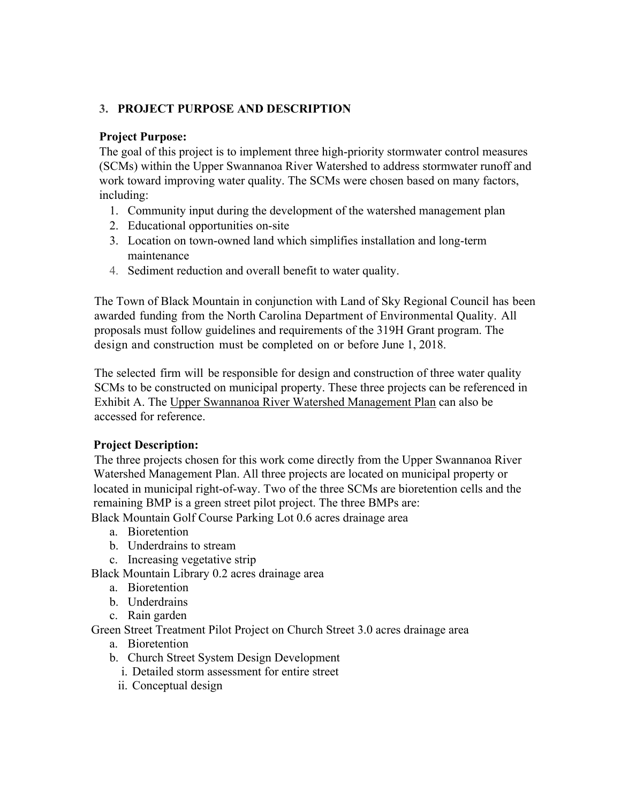#### **3. PROJECT PURPOSE AND DESCRIPTION**

#### **Project Purpose:**

The goal of this project is to implement three high-priority stormwater control measures (SCMs) within the Upper Swannanoa River Watershed to address stormwater runoff and work toward improving water quality. The SCMs were chosen based on many factors, including:

- 1. Community input during the development of the watershed management plan
- 2. Educational opportunities on-site
- 3. Location on town-owned land which simplifies installation and long-term maintenance
- 4. Sediment reduction and overall benefit to water quality.

The Town of Black Mountain in conjunction with Land of Sky Regional Council has been awarded funding from the North Carolina Department of Environmental Quality. All proposals must follow guidelines and requirements of the 319H Grant program. The design and construction must be completed on or before June 1, 2018.

The selected firm will be responsible for design and construction of three water quality SCMs to be constructed on municipal property. These three projects can be referenced in Exhibit A. The Upper Swannanoa River Watershed Management Plan can also be accessed for reference.

#### **Project Description:**

The three projects chosen for this work come directly from the Upper Swannanoa River Watershed Management Plan. All three projects are located on municipal property or located in municipal right-of-way. Two of the three SCMs are bioretention cells and the remaining BMP is a green street pilot project. The three BMPs are:

Black Mountain Golf Course Parking Lot 0.6 acres drainage area

- a. Bioretention
- b. Underdrains to stream
- c. Increasing vegetative strip

Black Mountain Library 0.2 acres drainage area

- a. Bioretention
- b. Underdrains
- c. Rain garden

Green Street Treatment Pilot Project on Church Street 3.0 acres drainage area

- a. Bioretention
- b. Church Street System Design Development
	- i. Detailed storm assessment for entire street
	- ii. Conceptual design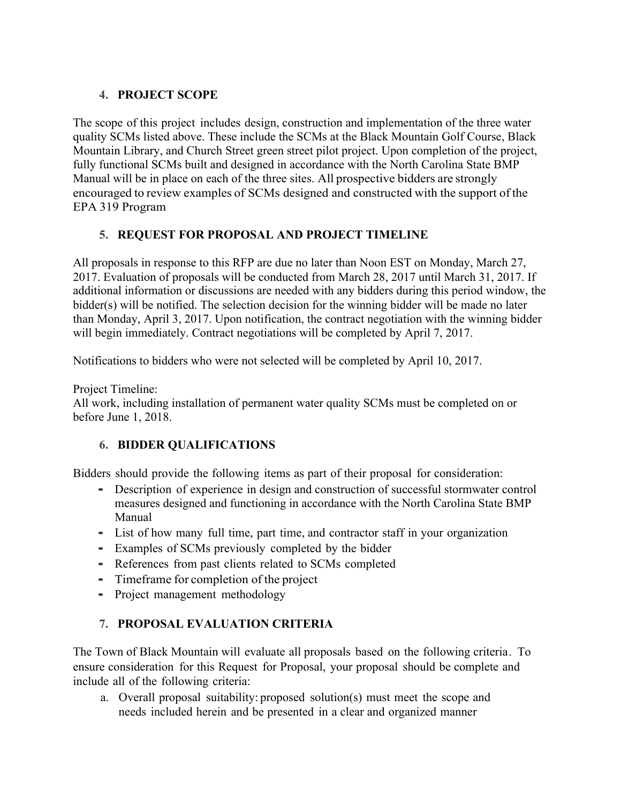## **4. PROJECT SCOPE**

The scope of this project includes design, construction and implementation of the three water quality SCMs listed above. These include the SCMs at the Black Mountain Golf Course, Black Mountain Library, and Church Street green street pilot project. Upon completion of the project, fully functional SCMs built and designed in accordance with the North Carolina State BMP Manual will be in place on each of the three sites. All prospective bidders are strongly encouraged to review examples of SCMs designed and constructed with the support of the EPA 319 Program

## **5. REQUEST FOR PROPOSAL AND PROJECT TIMELINE**

All proposals in response to this RFP are due no later than Noon EST on Monday, March 27, 2017. Evaluation of proposals will be conducted from March 28, 2017 until March 31, 2017. If additional information or discussions are needed with any bidders during this period window, the bidder(s) will be notified. The selection decision for the winning bidder will be made no later than Monday, April 3, 2017. Upon notification, the contract negotiation with the winning bidder will begin immediately. Contract negotiations will be completed by April 7, 2017.

Notifications to bidders who were not selected will be completed by April 10, 2017.

Project Timeline:

All work, including installation of permanent water quality SCMs must be completed on or before June 1, 2018.

## **6. BIDDER QUALIFICATIONS**

Bidders should provide the following items as part of their proposal for consideration:

- Description of experience in design and construction of successful stormwater control measures designed and functioning in accordance with the North Carolina State BMP Manual
- List of how many full time, part time, and contractor staff in your organization
- Examples of SCMs previously completed by the bidder
- References from past clients related to SCMs completed
- Timeframe for completion of the project
- Project management methodology

## **7. PROPOSAL EVALUATION CRITERIA**

The Town of Black Mountain will evaluate all proposals based on the following criteria. To ensure consideration for this Request for Proposal, your proposal should be complete and include all of the following criteria:

a. Overall proposal suitability: proposed solution(s) must meet the scope and needs included herein and be presented in a clear and organized manner